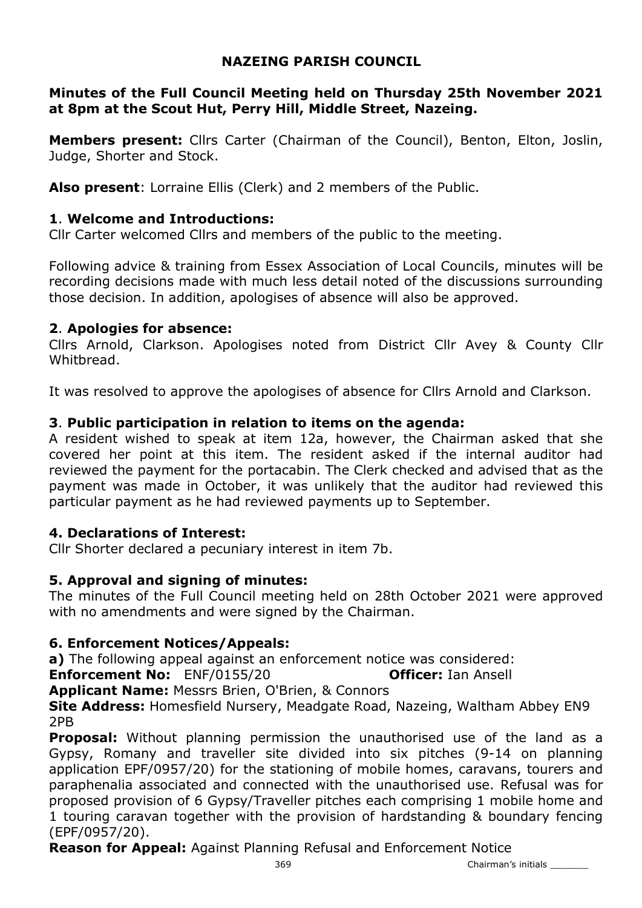# NAZEING PARISH COUNCIL

### Minutes of the Full Council Meeting held on Thursday 25th November 2021 at 8pm at the Scout Hut, Perry Hill, Middle Street, Nazeing.

Members present: Cllrs Carter (Chairman of the Council), Benton, Elton, Joslin, Judge, Shorter and Stock.

Also present: Lorraine Ellis (Clerk) and 2 members of the Public.

## 1. Welcome and Introductions:

Cllr Carter welcomed Cllrs and members of the public to the meeting.

Following advice & training from Essex Association of Local Councils, minutes will be recording decisions made with much less detail noted of the discussions surrounding those decision. In addition, apologises of absence will also be approved.

### 2. Apologies for absence:

Cllrs Arnold, Clarkson. Apologises noted from District Cllr Avey & County Cllr Whitbread.

It was resolved to approve the apologises of absence for Cllrs Arnold and Clarkson.

### 3. Public participation in relation to items on the agenda:

A resident wished to speak at item 12a, however, the Chairman asked that she covered her point at this item. The resident asked if the internal auditor had reviewed the payment for the portacabin. The Clerk checked and advised that as the payment was made in October, it was unlikely that the auditor had reviewed this particular payment as he had reviewed payments up to September.

### 4. Declarations of Interest:

Cllr Shorter declared a pecuniary interest in item 7b.

### 5. Approval and signing of minutes:

The minutes of the Full Council meeting held on 28th October 2021 were approved with no amendments and were signed by the Chairman.

### 6. Enforcement Notices/Appeals:

a) The following appeal against an enforcement notice was considered:

**Enforcement No:** ENF/0155/20 **Officer:** Ian Ansell

Applicant Name: Messrs Brien, O'Brien, & Connors

Site Address: Homesfield Nursery, Meadgate Road, Nazeing, Waltham Abbey EN9 2PB

Proposal: Without planning permission the unauthorised use of the land as a Gypsy, Romany and traveller site divided into six pitches (9-14 on planning application EPF/0957/20) for the stationing of mobile homes, caravans, tourers and paraphenalia associated and connected with the unauthorised use. Refusal was for proposed provision of 6 Gypsy/Traveller pitches each comprising 1 mobile home and 1 touring caravan together with the provision of hardstanding & boundary fencing (EPF/0957/20).

Reason for Appeal: Against Planning Refusal and Enforcement Notice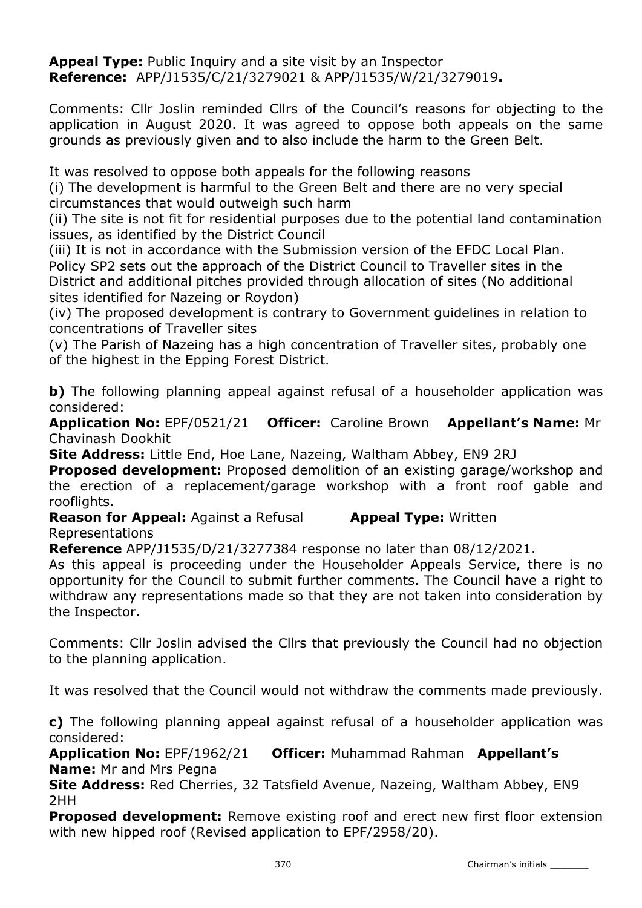Appeal Type: Public Inquiry and a site visit by an Inspector Reference: APP/J1535/C/21/3279021 & APP/J1535/W/21/3279019.

Comments: Cllr Joslin reminded Cllrs of the Council's reasons for objecting to the application in August 2020. It was agreed to oppose both appeals on the same grounds as previously given and to also include the harm to the Green Belt.

It was resolved to oppose both appeals for the following reasons

(i) The development is harmful to the Green Belt and there are no very special circumstances that would outweigh such harm

(ii) The site is not fit for residential purposes due to the potential land contamination issues, as identified by the District Council

(iii) It is not in accordance with the Submission version of the EFDC Local Plan. Policy SP2 sets out the approach of the District Council to Traveller sites in the District and additional pitches provided through allocation of sites (No additional sites identified for Nazeing or Roydon)

(iv) The proposed development is contrary to Government guidelines in relation to concentrations of Traveller sites

(v) The Parish of Nazeing has a high concentration of Traveller sites, probably one of the highest in the Epping Forest District.

b) The following planning appeal against refusal of a householder application was considered:

Application No: EPF/0521/21 Officer: Caroline Brown Appellant's Name: Mr Chavinash Dookhit

Site Address: Little End, Hoe Lane, Nazeing, Waltham Abbey, EN9 2RJ

**Proposed development:** Proposed demolition of an existing garage/workshop and the erection of a replacement/garage workshop with a front roof gable and rooflights.

**Reason for Appeal:** Against a Refusal **Appeal Type:** Written Representations

**Reference** APP/J1535/D/21/3277384 response no later than 08/12/2021.

As this appeal is proceeding under the Householder Appeals Service, there is no opportunity for the Council to submit further comments. The Council have a right to withdraw any representations made so that they are not taken into consideration by the Inspector.

Comments: Cllr Joslin advised the Cllrs that previously the Council had no objection to the planning application.

It was resolved that the Council would not withdraw the comments made previously.

c) The following planning appeal against refusal of a householder application was considered:

Application No: EPF/1962/21 Officer: Muhammad Rahman Appellant's Name: Mr and Mrs Pegna

Site Address: Red Cherries, 32 Tatsfield Avenue, Nazeing, Waltham Abbey, EN9 2HH

**Proposed development:** Remove existing roof and erect new first floor extension with new hipped roof (Revised application to EPF/2958/20).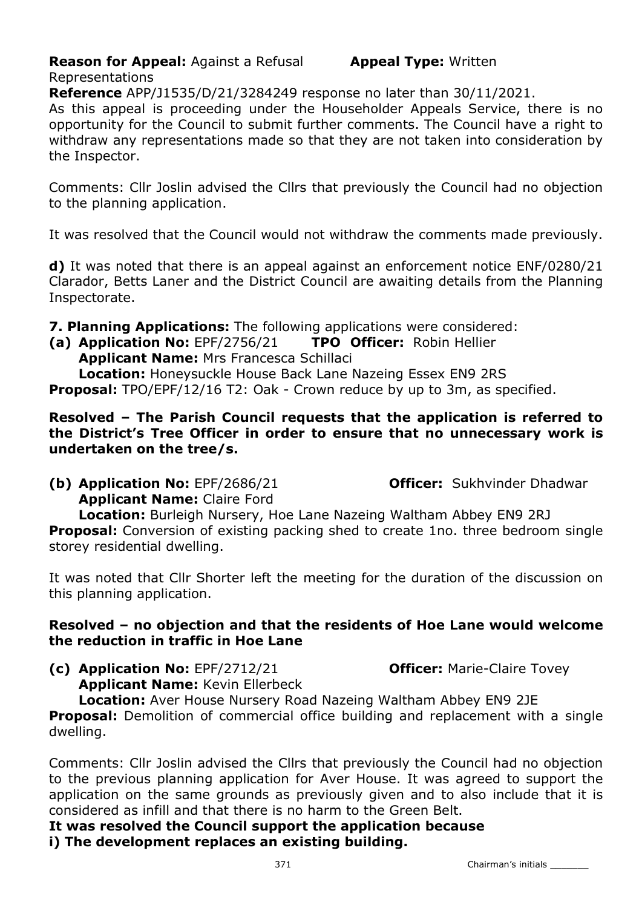**Reason for Appeal:** Against a Refusal **Appeal Type:** Written Representations

**Reference** APP/J1535/D/21/3284249 response no later than 30/11/2021.

As this appeal is proceeding under the Householder Appeals Service, there is no opportunity for the Council to submit further comments. The Council have a right to withdraw any representations made so that they are not taken into consideration by the Inspector.

Comments: Cllr Joslin advised the Cllrs that previously the Council had no objection to the planning application.

It was resolved that the Council would not withdraw the comments made previously.

d) It was noted that there is an appeal against an enforcement notice ENF/0280/21 Clarador, Betts Laner and the District Council are awaiting details from the Planning Inspectorate.

- **7. Planning Applications:** The following applications were considered:
- (a) Application No: EPF/2756/21 TPO Officer: Robin Hellier Applicant Name: Mrs Francesca Schillaci Location: Honeysuckle House Back Lane Nazeing Essex EN9 2RS

**Proposal:** TPO/EPF/12/16 T2: Oak - Crown reduce by up to 3m, as specified.

Resolved – The Parish Council requests that the application is referred to the District's Tree Officer in order to ensure that no unnecessary work is undertaken on the tree/s.

(b) Application No: EPF/2686/21 **Officer:** Sukhvinder Dhadwar Applicant Name: Claire Ford

Location: Burleigh Nursery, Hoe Lane Nazeing Waltham Abbey EN9 2RJ **Proposal:** Conversion of existing packing shed to create 1no. three bedroom single storey residential dwelling.

It was noted that Cllr Shorter left the meeting for the duration of the discussion on this planning application.

### Resolved – no objection and that the residents of Hoe Lane would welcome the reduction in traffic in Hoe Lane

(c) Application No: EPF/2712/21 Officer: Marie-Claire Tovey

Applicant Name: Kevin Ellerbeck

Location: Aver House Nursery Road Nazeing Waltham Abbey EN9 2JE

**Proposal:** Demolition of commercial office building and replacement with a single dwelling.

Comments: Cllr Joslin advised the Cllrs that previously the Council had no objection to the previous planning application for Aver House. It was agreed to support the application on the same grounds as previously given and to also include that it is considered as infill and that there is no harm to the Green Belt.

# It was resolved the Council support the application because

i) The development replaces an existing building.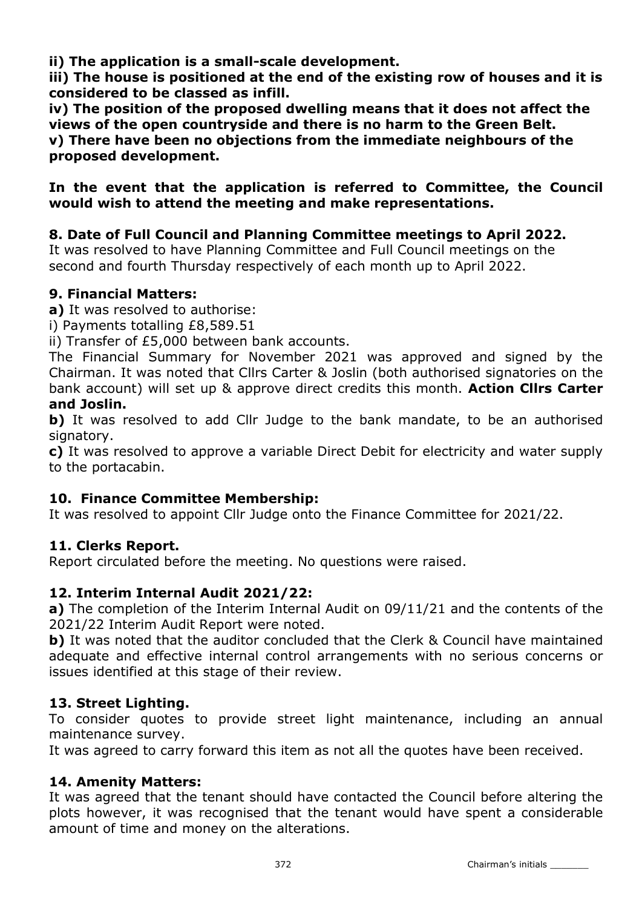ii) The application is a small-scale development.

iii) The house is positioned at the end of the existing row of houses and it is considered to be classed as infill.

iv) The position of the proposed dwelling means that it does not affect the views of the open countryside and there is no harm to the Green Belt. v) There have been no objections from the immediate neighbours of the proposed development.

## In the event that the application is referred to Committee, the Council would wish to attend the meeting and make representations.

# 8. Date of Full Council and Planning Committee meetings to April 2022.

It was resolved to have Planning Committee and Full Council meetings on the second and fourth Thursday respectively of each month up to April 2022.

# 9. Financial Matters:

a) It was resolved to authorise:

i) Payments totalling £8,589.51

ii) Transfer of £5,000 between bank accounts.

The Financial Summary for November 2021 was approved and signed by the Chairman. It was noted that Cllrs Carter & Joslin (both authorised signatories on the bank account) will set up & approve direct credits this month. Action Cllrs Carter and Joslin.

b) It was resolved to add Cllr Judge to the bank mandate, to be an authorised signatory.

c) It was resolved to approve a variable Direct Debit for electricity and water supply to the portacabin.

# 10. Finance Committee Membership:

It was resolved to appoint Cllr Judge onto the Finance Committee for 2021/22.

### 11. Clerks Report.

Report circulated before the meeting. No questions were raised.

### 12. Interim Internal Audit 2021/22:

a) The completion of the Interim Internal Audit on 09/11/21 and the contents of the 2021/22 Interim Audit Report were noted.

b) It was noted that the auditor concluded that the Clerk & Council have maintained adequate and effective internal control arrangements with no serious concerns or issues identified at this stage of their review.

### 13. Street Lighting.

To consider quotes to provide street light maintenance, including an annual maintenance survey.

It was agreed to carry forward this item as not all the quotes have been received.

### 14. Amenity Matters:

It was agreed that the tenant should have contacted the Council before altering the plots however, it was recognised that the tenant would have spent a considerable amount of time and money on the alterations.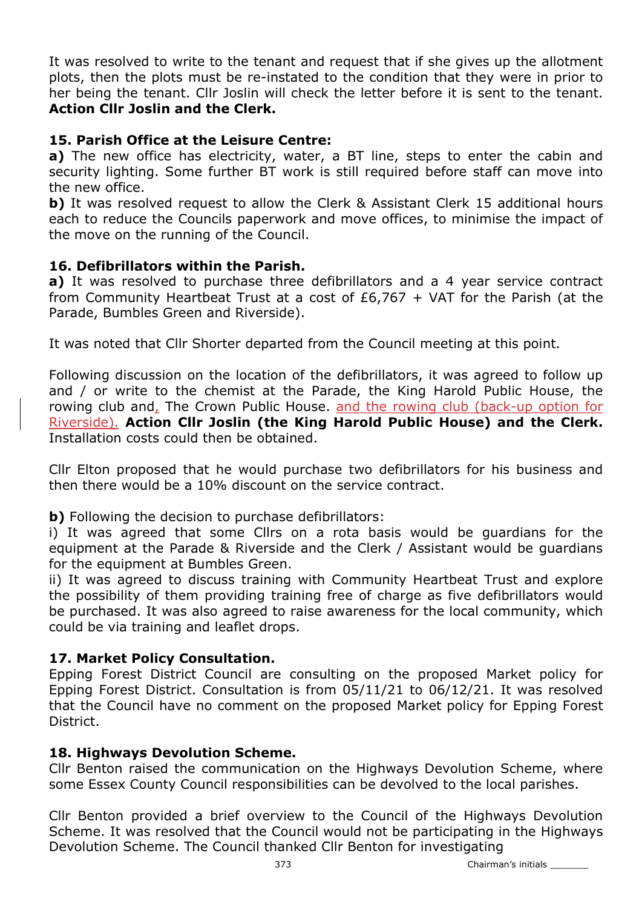It was resolved to write to the tenant and request that if she gives up the allotment plots, then the plots must be re-instated to the condition that they were in prior to her being the tenant. Cllr Joslin will check the letter before it is sent to the tenant. Action Cllr Joslin and the Clerk.

# 15. Parish Office at the Leisure Centre:

a) The new office has electricity, water, a BT line, steps to enter the cabin and security lighting. Some further BT work is still required before staff can move into the new office.

**b**) It was resolved request to allow the Clerk & Assistant Clerk 15 additional hours each to reduce the Councils paperwork and move offices, to minimise the impact of the move on the running of the Council.

### 16. Defibrillators within the Parish.

a) It was resolved to purchase three defibrillators and a 4 year service contract from Community Heartbeat Trust at a cost of  $E6,767 + \text{VAT}$  for the Parish (at the Parade, Bumbles Green and Riverside).

It was noted that Cllr Shorter departed from the Council meeting at this point.

Following discussion on the location of the defibrillators, it was agreed to follow up and / or write to the chemist at the Parade, the King Harold Public House, the rowing club and, The Crown Public House. and the rowing club (back-up option for Riverside). Action Cllr Joslin (the King Harold Public House) and the Clerk. Installation costs could then be obtained.

Cllr Elton proposed that he would purchase two defibrillators for his business and then there would be a 10% discount on the service contract.

b) Following the decision to purchase defibrillators:

i) It was agreed that some Cllrs on a rota basis would be guardians for the equipment at the Parade & Riverside and the Clerk / Assistant would be guardians for the equipment at Bumbles Green.

ii) It was agreed to discuss training with Community Heartbeat Trust and explore the possibility of them providing training free of charge as five defibrillators would be purchased. It was also agreed to raise awareness for the local community, which could be via training and leaflet drops.

### 17. Market Policy Consultation.

Epping Forest District Council are consulting on the proposed Market policy for Epping Forest District. Consultation is from 05/11/21 to 06/12/21. It was resolved that the Council have no comment on the proposed Market policy for Epping Forest District.

### 18. Highways Devolution Scheme.

Cllr Benton raised the communication on the Highways Devolution Scheme, where some Essex County Council responsibilities can be devolved to the local parishes.

Cllr Benton provided a brief overview to the Council of the Highways Devolution Scheme. It was resolved that the Council would not be participating in the Highways Devolution Scheme. The Council thanked Cllr Benton for investigating